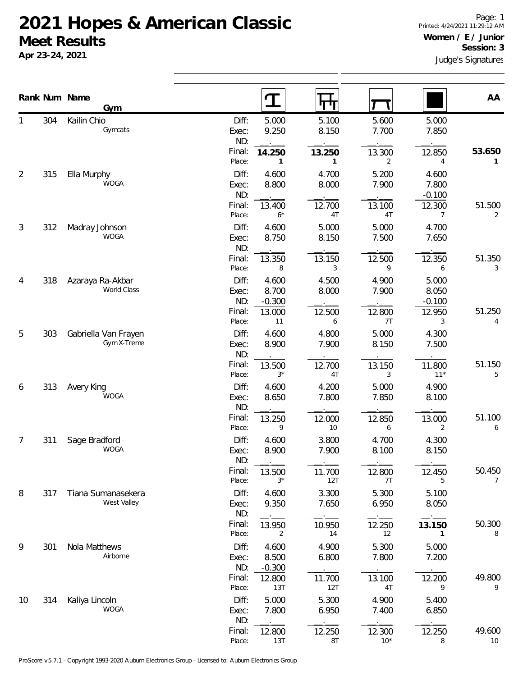## **2021 Hopes & American Classic Meet Results**

**Apr 23-24, 2021**

1

2

3

4

5

6

7

8

9

10

|    |     | Rank Num Name<br><b>Gym</b>         |                                 |                                      |                          |                          |                                      |                          |
|----|-----|-------------------------------------|---------------------------------|--------------------------------------|--------------------------|--------------------------|--------------------------------------|--------------------------|
|    |     |                                     |                                 | $\mathbf T$                          | पाप                      |                          |                                      | AA                       |
| 1  | 304 | Kailin Chio<br>Gymcats              | Diff:<br>Exec:<br>ND:           | 5.000<br>9.250                       | 5.100<br>8.150           | 5.600<br>7.700           | 5.000<br>7.850                       |                          |
|    |     |                                     | Final:<br>Place:                | 14.250<br>1                          | 13.250<br>1              | 13.300<br>2              | 12.850<br>4                          | 53.650<br>1              |
| 2  | 315 | Ella Murphy<br><b>WOGA</b>          | Diff:<br>Exec:<br>ND:           | 4.600<br>8.800                       | 4.700<br>8.000           | 5.200<br>7.900           | 4.600<br>7.800<br>$-0.100$           |                          |
|    |     |                                     | Final:<br>Place:                | 13.400<br>$6*$                       | 12.700<br>4T             | 13.100<br>4T             | 12.300<br>7                          | 51.500<br>2              |
| 3  | 312 | Madray Johnson<br>WOGA              | Diff:<br>Exec:<br>ND:           | 4.600<br>8.750                       | 5.000<br>8.150           | 5.000<br>7.500           | 4.700<br>7.650                       |                          |
|    |     |                                     | Final:<br>Place:                | 13.350<br>8                          | 13.150<br>3              | 12.500<br>9              | 12.350<br>6                          | 51.350<br>3              |
| 4  | 318 | Azaraya Ra-Akbar<br>World Class     | Diff:<br>Exec:<br>ND:<br>Final: | 4.600<br>8.700<br>$-0.300$<br>13.000 | 4.500<br>8.000<br>12.500 | 4.900<br>7.900<br>12.800 | 5.000<br>8.050<br>$-0.100$<br>12.950 | 51.250                   |
| 5  | 303 | Gabriella Van Frayen<br>Gym X-Treme | Place:<br>Diff:<br>Exec:        | 11<br>4.600<br>8.900                 | 6<br>4.800<br>7.900      | 7T<br>5.000<br>8.150     | 3<br>4.300<br>7.500                  | 4                        |
|    |     |                                     | ND:<br>Final:<br>Place:         | 13.500<br>$3^{\star}$                | 12.700<br>4T             | 13.150<br>3              | 11.800<br>$11*$                      | 51.150<br>5              |
| 6  | 313 | Avery King<br><b>WOGA</b>           | Diff:<br>Exec:<br>ND:           | 4.600<br>8.650                       | 4.200<br>7.800           | 5.000<br>7.850           | 4.900<br>8.100                       |                          |
|    |     |                                     | Final:<br>Place:                | 13.250<br>9                          | 12.000<br>10             | 12.850<br>6              | 13.000<br>$\overline{2}$             | 51.100<br>6              |
| 7  | 311 | Sage Bradford<br><b>WOGA</b>        | Diff:<br>Exec:<br>ND:           | 4.600<br>8.900                       | 3.800<br>7.900           | 4.700<br>8.100           | 4.300<br>8.150                       |                          |
|    |     |                                     | Final:<br>Place:                | 13.500<br>$3^{\star}$                | 11.700<br>12T            | 12.800<br>7T             | 12.450<br>5                          | 50.450<br>$\overline{7}$ |
| 8  | 317 | Tiana Sumanasekera<br>West Valley   | Diff:<br>Exec:<br>ND:           | 4.600<br>9.350                       | 3.300<br>7.650           | 5.300<br>6.950           | 5.100<br>8.050                       |                          |
|    |     |                                     | Final:<br>Place:                | 13.950<br>2                          | 10.950<br>14             | 12.250<br>12             | 13.150<br>1                          | 50.300<br>8              |
| 9  | 301 | Nola Matthews<br>Airborne           | Diff:<br>Exec:<br>ND:           | 4.600<br>8.500<br>$-0.300$           | 4.900<br>6.800           | 5.300<br>7.800           | 5.000<br>7.200                       |                          |
|    |     |                                     | Final:<br>Place:                | 12.800<br>13T                        | 11.700<br>12T            | 13.100<br>4T             | 12.200<br>9                          | 49.800<br>9              |
| 10 | 314 | Kaliya Lincoln<br><b>WOGA</b>       | Diff:<br>Exec:<br>ND:           | 5.000<br>7.800                       | 5.300<br>6.950           | 4.900<br>7.400           | 5.400<br>6.850                       |                          |
|    |     |                                     | Final:                          | 12.800                               | 12.250                   | 12.300                   | 12.250                               | 49.600                   |

Place: 13T 8T 10\* 8 10